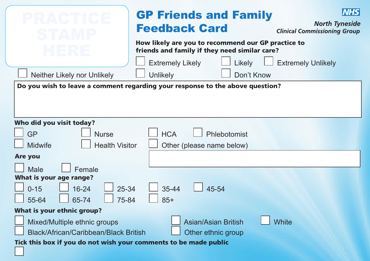|                                                                                                                                                      | <b>GP Friends and Family</b><br><b>Feedback Card</b>                                                                                     | <b>NHS</b><br><b>North Tyneside</b><br><b>Clinical Commissioning Group</b> |  |  |
|------------------------------------------------------------------------------------------------------------------------------------------------------|------------------------------------------------------------------------------------------------------------------------------------------|----------------------------------------------------------------------------|--|--|
|                                                                                                                                                      | How likely are you to recommend our GP practice to<br>friends and family if they need similar care?<br><b>Extremely Likely</b><br>Likely | <b>Extremely Unlikely</b>                                                  |  |  |
| Neither Likely nor Unlikely                                                                                                                          | Don't Know<br><b>Unlikely</b>                                                                                                            |                                                                            |  |  |
| Do you wish to leave a comment regarding your response to the above question?                                                                        |                                                                                                                                          |                                                                            |  |  |
| Who did you visit today?<br>GP<br><b>HCA</b><br>Phlebotomist<br><b>Nurse</b><br><b>Health Visitor</b><br><b>Midwife</b><br>Other (please name below) |                                                                                                                                          |                                                                            |  |  |
| Are you                                                                                                                                              |                                                                                                                                          |                                                                            |  |  |
| Male<br>Female<br>What is your age range?<br>25-34<br>$0 - 15$<br>$16 - 24$<br>75-84<br>55-64<br>65-74                                               | 45-54<br>$35 - 44$<br>$85+$                                                                                                              |                                                                            |  |  |
| <b>What is your ethnic group?</b>                                                                                                                    |                                                                                                                                          |                                                                            |  |  |
| Mixed/Multiple ethnic groups<br>Black/African/Caribbean/Black British<br>Tick this box if you do not wish your comments to be made public            | <b>Asian/Asian British</b><br>Other ethnic group                                                                                         | <b>White</b>                                                               |  |  |